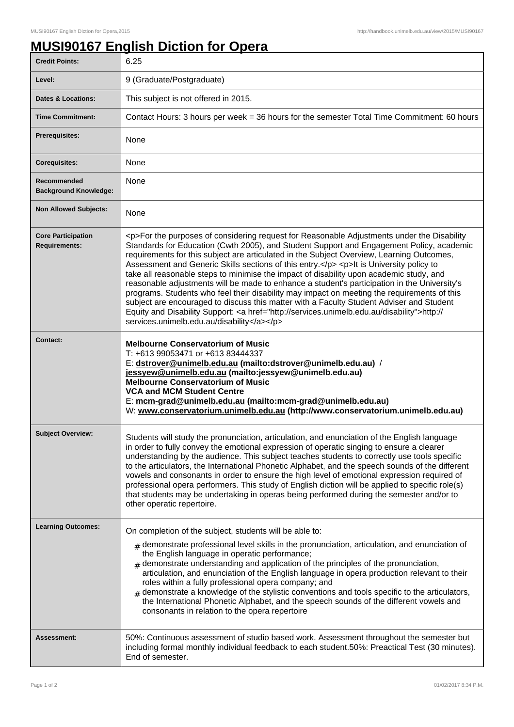## **MUSI90167 English Diction for Opera**

| <b>Credit Points:</b>                             | 6.25                                                                                                                                                                                                                                                                                                                                                                                                                                                                                                                                                                                                                                                                                                                                                                                                                                                                                                                         |
|---------------------------------------------------|------------------------------------------------------------------------------------------------------------------------------------------------------------------------------------------------------------------------------------------------------------------------------------------------------------------------------------------------------------------------------------------------------------------------------------------------------------------------------------------------------------------------------------------------------------------------------------------------------------------------------------------------------------------------------------------------------------------------------------------------------------------------------------------------------------------------------------------------------------------------------------------------------------------------------|
| Level:                                            | 9 (Graduate/Postgraduate)                                                                                                                                                                                                                                                                                                                                                                                                                                                                                                                                                                                                                                                                                                                                                                                                                                                                                                    |
| <b>Dates &amp; Locations:</b>                     | This subject is not offered in 2015.                                                                                                                                                                                                                                                                                                                                                                                                                                                                                                                                                                                                                                                                                                                                                                                                                                                                                         |
| <b>Time Commitment:</b>                           | Contact Hours: 3 hours per week = 36 hours for the semester Total Time Commitment: 60 hours                                                                                                                                                                                                                                                                                                                                                                                                                                                                                                                                                                                                                                                                                                                                                                                                                                  |
| <b>Prerequisites:</b>                             | None                                                                                                                                                                                                                                                                                                                                                                                                                                                                                                                                                                                                                                                                                                                                                                                                                                                                                                                         |
| <b>Corequisites:</b>                              | None                                                                                                                                                                                                                                                                                                                                                                                                                                                                                                                                                                                                                                                                                                                                                                                                                                                                                                                         |
| Recommended<br><b>Background Knowledge:</b>       | None                                                                                                                                                                                                                                                                                                                                                                                                                                                                                                                                                                                                                                                                                                                                                                                                                                                                                                                         |
| <b>Non Allowed Subjects:</b>                      | None                                                                                                                                                                                                                                                                                                                                                                                                                                                                                                                                                                                                                                                                                                                                                                                                                                                                                                                         |
| <b>Core Participation</b><br><b>Requirements:</b> | <p>For the purposes of considering request for Reasonable Adjustments under the Disability<br/>Standards for Education (Cwth 2005), and Student Support and Engagement Policy, academic<br/>requirements for this subject are articulated in the Subject Overview, Learning Outcomes,<br/>Assessment and Generic Skills sections of this entry.</p> <p>lt is University policy to<br/>take all reasonable steps to minimise the impact of disability upon academic study, and<br/>reasonable adjustments will be made to enhance a student's participation in the University's<br/>programs. Students who feel their disability may impact on meeting the requirements of this<br/>subject are encouraged to discuss this matter with a Faculty Student Adviser and Student<br/>Equity and Disability Support: &lt; a href="http://services.unimelb.edu.au/disability"&gt;http://<br/>services.unimelb.edu.au/disability</p> |
| <b>Contact:</b>                                   | <b>Melbourne Conservatorium of Music</b><br>T: +613 99053471 or +613 83444337<br>E: dstrover@unimelb.edu.au (mailto:dstrover@unimelb.edu.au) /<br>jessyew@unimelb.edu.au (mailto: jessyew@unimelb.edu.au)<br><b>Melbourne Conservatorium of Music</b><br><b>VCA and MCM Student Centre</b><br>E: mcm-grad@unimelb.edu.au (mailto:mcm-grad@unimelb.edu.au)<br>W: www.conservatorium.unimelb.edu.au (http://www.conservatorium.unimelb.edu.au)                                                                                                                                                                                                                                                                                                                                                                                                                                                                                 |
| <b>Subject Overview:</b>                          | Students will study the pronunciation, articulation, and enunciation of the English language<br>in order to fully convey the emotional expression of operatic singing to ensure a clearer<br>understanding by the audience. This subject teaches students to correctly use tools specific<br>to the articulators, the International Phonetic Alphabet, and the speech sounds of the different<br>vowels and consonants in order to ensure the high level of emotional expression required of<br>professional opera performers. This study of English diction will be applied to specific role(s)<br>that students may be undertaking in operas being performed during the semester and/or to<br>other operatic repertoire.                                                                                                                                                                                                   |
| <b>Learning Outcomes:</b>                         | On completion of the subject, students will be able to:<br>$#$ demonstrate professional level skills in the pronunciation, articulation, and enunciation of<br>the English language in operatic performance;<br>$#$ demonstrate understanding and application of the principles of the pronunciation,<br>articulation, and enunciation of the English language in opera production relevant to their<br>roles within a fully professional opera company; and<br>demonstrate a knowledge of the stylistic conventions and tools specific to the articulators,<br>#<br>the International Phonetic Alphabet, and the speech sounds of the different vowels and<br>consonants in relation to the opera repertoire                                                                                                                                                                                                                |
| <b>Assessment:</b>                                | 50%: Continuous assessment of studio based work. Assessment throughout the semester but<br>including formal monthly individual feedback to each student.50%: Preactical Test (30 minutes).<br>End of semester.                                                                                                                                                                                                                                                                                                                                                                                                                                                                                                                                                                                                                                                                                                               |